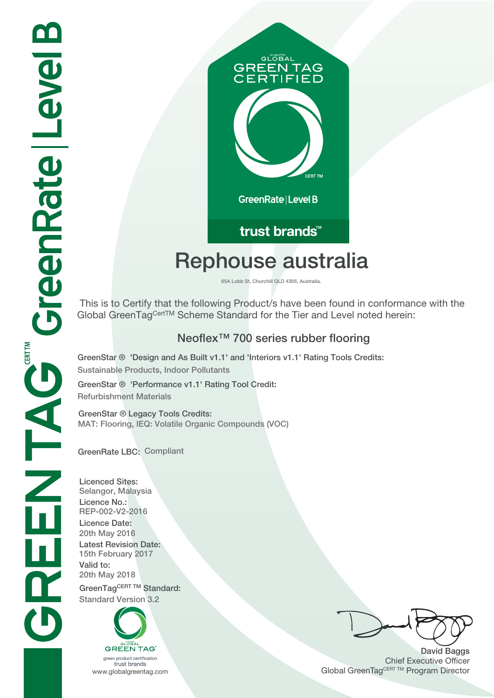

## trust brands<sup>™</sup>

# **Rephouse australia**

**65A Lobb St, Churchill QLD 4305, Australia.**

 This is to Certify that the following Product/s have been found in conformance with the Global GreenTag<sup>CertTM</sup> Scheme Standard for the Tier and Level noted herein:

### **Neoflex™ 700 series rubber flooring**

**GreenStar ® 'Design and As Built v1.1' and 'Interiors v1.1' Rating Tools Credits: Sustainable Products, Indoor Pollutants**

**GreenStar ® 'Performance v1.1' Rating Tool Credit: Refurbishment Materials**

**GreenStar ® Legacy Tools Credits: MAT: Flooring, IEQ: Volatile Organic Compounds (VOC)**

**GreenRate LBC: Compliant**

**Licenced Sites: Selangor, Malaysia Licence No.: REP-002-V2-2016 Licence Date: 20th May 2016 Latest Revision Date: 15th February 2017 Valid to: 20th May 2018** GreenTagCERT TM Standard: **Standard Version 3.2**



**David Baggs** Chief Executive Officer WWW.globalgreentag.com **Program Director** Global GreenTagCERT TM Program Director